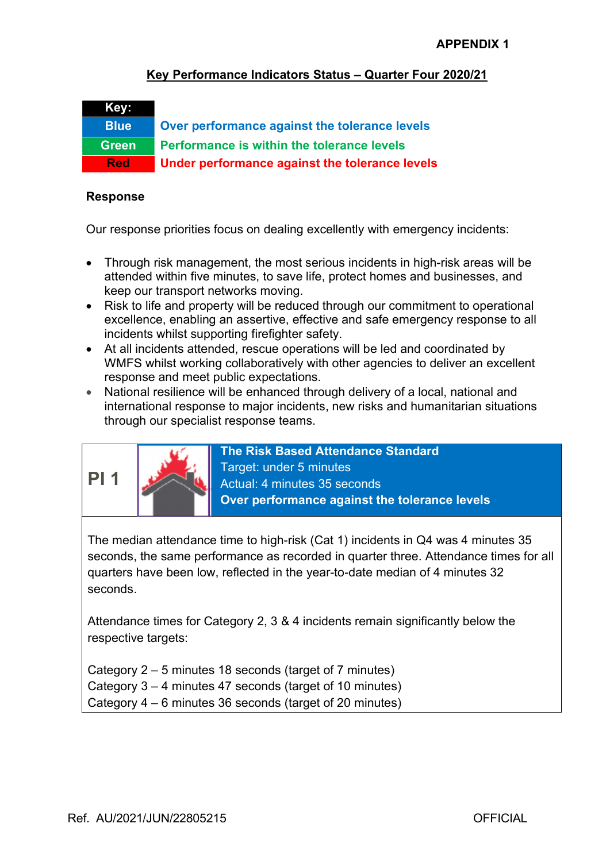### Key Performance Indicators Status – Quarter Four 2020/21



Blue Over performance against the tolerance levels Green Performance is within the tolerance levels Red Under performance against the tolerance levels

#### Response

Our response priorities focus on dealing excellently with emergency incidents:

- Through risk management, the most serious incidents in high-risk areas will be attended within five minutes, to save life, protect homes and businesses, and keep our transport networks moving.
- Risk to life and property will be reduced through our commitment to operational excellence, enabling an assertive, effective and safe emergency response to all incidents whilst supporting firefighter safety.
- At all incidents attended, rescue operations will be led and coordinated by WMFS whilst working collaboratively with other agencies to deliver an excellent response and meet public expectations.
- National resilience will be enhanced through delivery of a local, national and international response to major incidents, new risks and humanitarian situations through our specialist response teams.



The Risk Based Attendance Standard Target: under 5 minutes Actual: 4 minutes 35 seconds Over performance against the tolerance levels

The median attendance time to high-risk (Cat 1) incidents in Q4 was 4 minutes 35 seconds, the same performance as recorded in quarter three. Attendance times for all quarters have been low, reflected in the year-to-date median of 4 minutes 32 seconds.

Attendance times for Category 2, 3 & 4 incidents remain significantly below the respective targets:

Category 2 – 5 minutes 18 seconds (target of 7 minutes) Category 3 – 4 minutes 47 seconds (target of 10 minutes) Category 4 – 6 minutes 36 seconds (target of 20 minutes)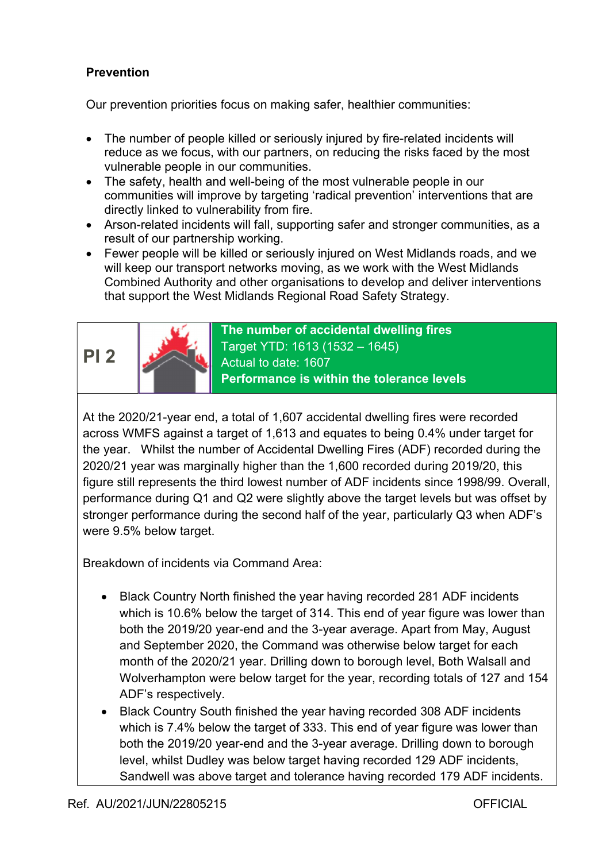### Prevention

Our prevention priorities focus on making safer, healthier communities:

- The number of people killed or seriously injured by fire-related incidents will reduce as we focus, with our partners, on reducing the risks faced by the most vulnerable people in our communities.
- The safety, health and well-being of the most vulnerable people in our communities will improve by targeting 'radical prevention' interventions that are directly linked to vulnerability from fire.
- Arson-related incidents will fall, supporting safer and stronger communities, as a result of our partnership working.
- Fewer people will be killed or seriously injured on West Midlands roads, and we will keep our transport networks moving, as we work with the West Midlands Combined Authority and other organisations to develop and deliver interventions that support the West Midlands Regional Road Safety Strategy.





The number of accidental dwelling fires Target YTD: 1613 (1532 – 1645) Actual to date: 1607 Performance is within the tolerance levels

At the 2020/21-year end, a total of 1,607 accidental dwelling fires were recorded across WMFS against a target of 1,613 and equates to being 0.4% under target for the year. Whilst the number of Accidental Dwelling Fires (ADF) recorded during the 2020/21 year was marginally higher than the 1,600 recorded during 2019/20, this figure still represents the third lowest number of ADF incidents since 1998/99. Overall, performance during Q1 and Q2 were slightly above the target levels but was offset by stronger performance during the second half of the year, particularly Q3 when ADF's were 9.5% below target.

- Black Country North finished the year having recorded 281 ADF incidents which is 10.6% below the target of 314. This end of year figure was lower than both the 2019/20 year-end and the 3-year average. Apart from May, August and September 2020, the Command was otherwise below target for each month of the 2020/21 year. Drilling down to borough level, Both Walsall and Wolverhampton were below target for the year, recording totals of 127 and 154 ADF's respectively.
- Black Country South finished the year having recorded 308 ADF incidents which is 7.4% below the target of 333. This end of year figure was lower than both the 2019/20 year-end and the 3-year average. Drilling down to borough level, whilst Dudley was below target having recorded 129 ADF incidents, Sandwell was above target and tolerance having recorded 179 ADF incidents.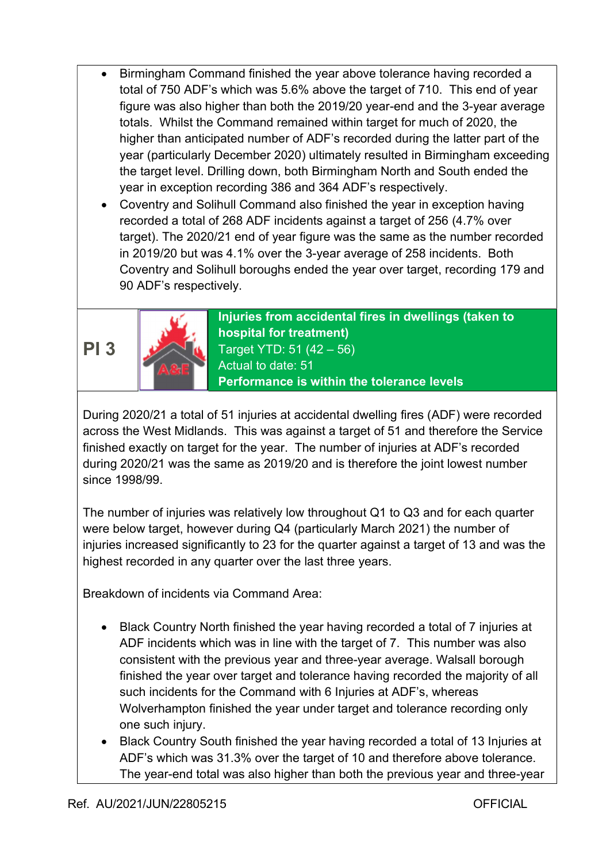- Birmingham Command finished the year above tolerance having recorded a total of 750 ADF's which was 5.6% above the target of 710. This end of year figure was also higher than both the 2019/20 year-end and the 3-year average totals. Whilst the Command remained within target for much of 2020, the higher than anticipated number of ADF's recorded during the latter part of the year (particularly December 2020) ultimately resulted in Birmingham exceeding the target level. Drilling down, both Birmingham North and South ended the year in exception recording 386 and 364 ADF's respectively.
- Coventry and Solihull Command also finished the year in exception having recorded a total of 268 ADF incidents against a target of 256 (4.7% over target). The 2020/21 end of year figure was the same as the number recorded in 2019/20 but was 4.1% over the 3-year average of 258 incidents. Both Coventry and Solihull boroughs ended the year over target, recording 179 and 90 ADF's respectively.





Injuries from accidental fires in dwellings (taken to hospital for treatment) Target YTD: 51 (42 – 56) Actual to date: 51 Performance is within the tolerance levels

During 2020/21 a total of 51 injuries at accidental dwelling fires (ADF) were recorded across the West Midlands. This was against a target of 51 and therefore the Service finished exactly on target for the year. The number of injuries at ADF's recorded during 2020/21 was the same as 2019/20 and is therefore the joint lowest number since 1998/99.

The number of injuries was relatively low throughout Q1 to Q3 and for each quarter were below target, however during Q4 (particularly March 2021) the number of injuries increased significantly to 23 for the quarter against a target of 13 and was the highest recorded in any quarter over the last three years.

- Black Country North finished the year having recorded a total of 7 injuries at ADF incidents which was in line with the target of 7. This number was also consistent with the previous year and three-year average. Walsall borough finished the year over target and tolerance having recorded the majority of all such incidents for the Command with 6 Injuries at ADF's, whereas Wolverhampton finished the year under target and tolerance recording only one such injury.
- Black Country South finished the year having recorded a total of 13 Injuries at ADF's which was 31.3% over the target of 10 and therefore above tolerance. The year-end total was also higher than both the previous year and three-year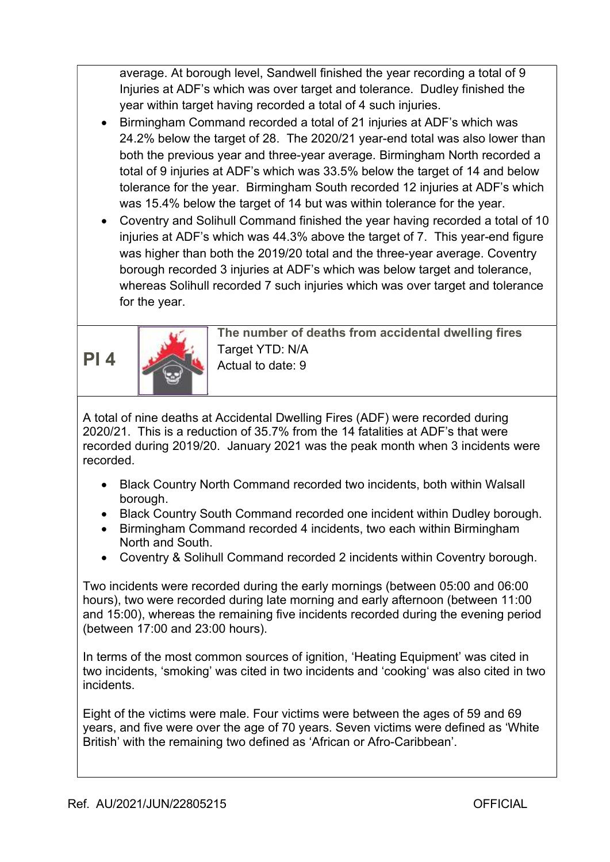average. At borough level, Sandwell finished the year recording a total of 9 Injuries at ADF's which was over target and tolerance. Dudley finished the year within target having recorded a total of 4 such injuries.

- Birmingham Command recorded a total of 21 injuries at ADF's which was 24.2% below the target of 28. The 2020/21 year-end total was also lower than both the previous year and three-year average. Birmingham North recorded a total of 9 injuries at ADF's which was 33.5% below the target of 14 and below tolerance for the year. Birmingham South recorded 12 injuries at ADF's which was 15.4% below the target of 14 but was within tolerance for the year.
- Coventry and Solihull Command finished the year having recorded a total of 10 injuries at ADF's which was 44.3% above the target of 7. This year-end figure was higher than both the 2019/20 total and the three-year average. Coventry borough recorded 3 injuries at ADF's which was below target and tolerance, whereas Solihull recorded 7 such injuries which was over target and tolerance for the year.



The number of deaths from accidental dwelling fires Target YTD: N/A Actual to date: 9

A total of nine deaths at Accidental Dwelling Fires (ADF) were recorded during 2020/21. This is a reduction of 35.7% from the 14 fatalities at ADF's that were recorded during 2019/20. January 2021 was the peak month when 3 incidents were recorded.

- Black Country North Command recorded two incidents, both within Walsall borough.
- Black Country South Command recorded one incident within Dudley borough.
- Birmingham Command recorded 4 incidents, two each within Birmingham North and South.
- Coventry & Solihull Command recorded 2 incidents within Coventry borough.

Two incidents were recorded during the early mornings (between 05:00 and 06:00 hours), two were recorded during late morning and early afternoon (between 11:00 and 15:00), whereas the remaining five incidents recorded during the evening period (between 17:00 and 23:00 hours).

In terms of the most common sources of ignition, 'Heating Equipment' was cited in two incidents, 'smoking' was cited in two incidents and 'cooking' was also cited in two incidents.

Eight of the victims were male. Four victims were between the ages of 59 and 69 years, and five were over the age of 70 years. Seven victims were defined as 'White British' with the remaining two defined as 'African or Afro-Caribbean'.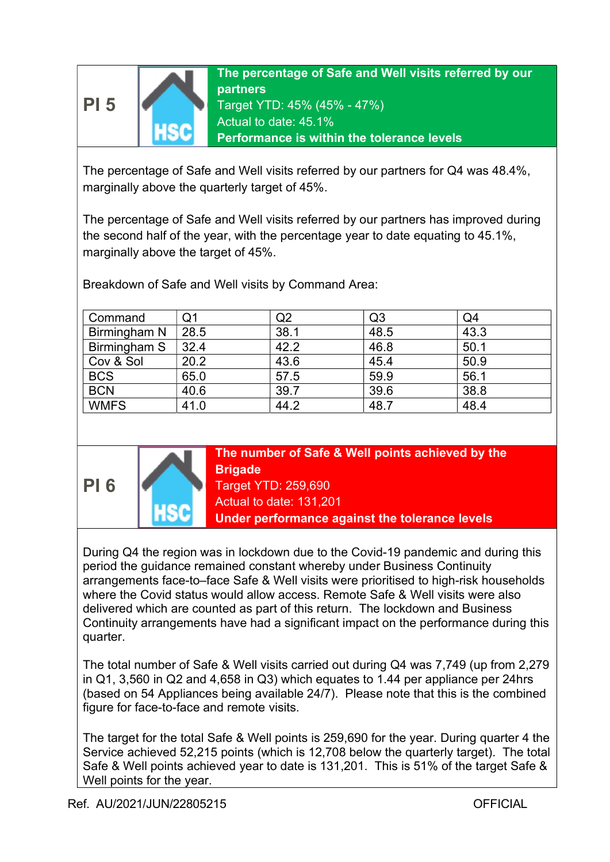



The percentage of Safe and Well visits referred by our partners for Q4 was 48.4%, marginally above the quarterly target of 45%.

The percentage of Safe and Well visits referred by our partners has improved during the second half of the year, with the percentage year to date equating to 45.1%, marginally above the target of 45%.

Breakdown of Safe and Well visits by Command Area:

| Command      | Q1   | Q2   | Q <sub>3</sub> | Q4   |
|--------------|------|------|----------------|------|
| Birmingham N | 28.5 | 38.1 | 48.5           | 43.3 |
| Birmingham S | 32.4 | 42.2 | 46.8           | 50.1 |
| Cov & Sol    | 20.2 | 43.6 | 45.4           | 50.9 |
| <b>BCS</b>   | 65.0 | 57.5 | 59.9           | 56.1 |
| <b>BCN</b>   | 40.6 | 39.7 | 39.6           | 38.8 |
| <b>WMFS</b>  | 41.0 | 44.2 | 48.7           | 48.4 |



The number of Safe & Well points achieved by the **Brigade** Target YTD: 259,690

Actual to date: 131,201

Under performance against the tolerance levels

During Q4 the region was in lockdown due to the Covid-19 pandemic and during this period the guidance remained constant whereby under Business Continuity arrangements face-to–face Safe & Well visits were prioritised to high-risk households where the Covid status would allow access. Remote Safe & Well visits were also delivered which are counted as part of this return. The lockdown and Business Continuity arrangements have had a significant impact on the performance during this quarter.

The total number of Safe & Well visits carried out during Q4 was 7,749 (up from 2,279 in Q1, 3,560 in Q2 and 4,658 in Q3) which equates to 1.44 per appliance per 24hrs (based on 54 Appliances being available 24/7). Please note that this is the combined figure for face-to-face and remote visits.

The target for the total Safe & Well points is 259,690 for the year. During quarter 4 the Service achieved 52,215 points (which is 12,708 below the quarterly target). The total Safe & Well points achieved year to date is 131,201. This is 51% of the target Safe & Well points for the year.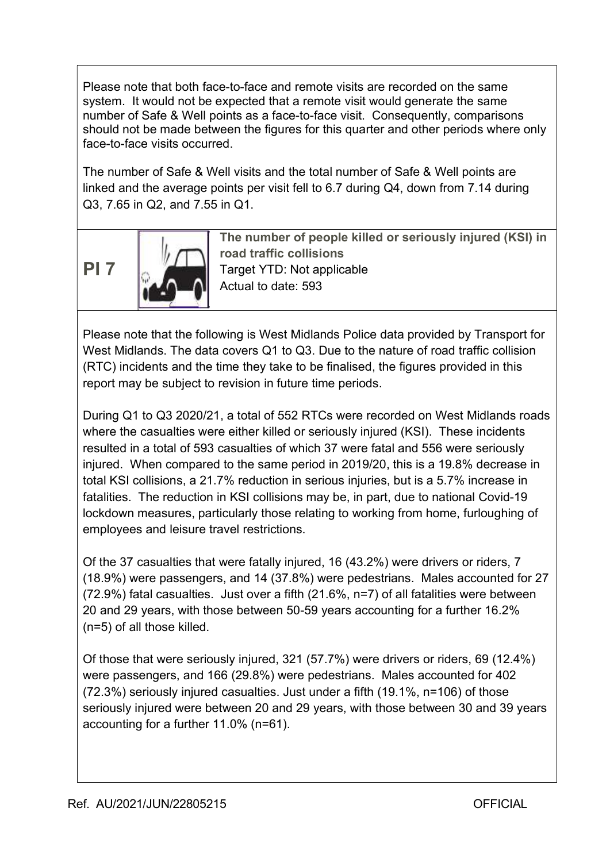Please note that both face-to-face and remote visits are recorded on the same system. It would not be expected that a remote visit would generate the same number of Safe & Well points as a face-to-face visit. Consequently, comparisons should not be made between the figures for this quarter and other periods where only face-to-face visits occurred.

The number of Safe & Well visits and the total number of Safe & Well points are linked and the average points per visit fell to 6.7 during Q4, down from 7.14 during Q3, 7.65 in Q2, and 7.55 in Q1.

PI 7



The number of people killed or seriously injured (KSI) in road traffic collisions Target YTD: Not applicable Actual to date: 593

Please note that the following is West Midlands Police data provided by Transport for West Midlands. The data covers Q1 to Q3. Due to the nature of road traffic collision (RTC) incidents and the time they take to be finalised, the figures provided in this report may be subject to revision in future time periods.

During Q1 to Q3 2020/21, a total of 552 RTCs were recorded on West Midlands roads where the casualties were either killed or seriously injured (KSI). These incidents resulted in a total of 593 casualties of which 37 were fatal and 556 were seriously injured. When compared to the same period in 2019/20, this is a 19.8% decrease in total KSI collisions, a 21.7% reduction in serious injuries, but is a 5.7% increase in fatalities. The reduction in KSI collisions may be, in part, due to national Covid-19 lockdown measures, particularly those relating to working from home, furloughing of employees and leisure travel restrictions.

Of the 37 casualties that were fatally injured, 16 (43.2%) were drivers or riders, 7 (18.9%) were passengers, and 14 (37.8%) were pedestrians. Males accounted for 27 (72.9%) fatal casualties. Just over a fifth (21.6%, n=7) of all fatalities were between 20 and 29 years, with those between 50-59 years accounting for a further 16.2% (n=5) of all those killed.

Of those that were seriously injured, 321 (57.7%) were drivers or riders, 69 (12.4%) were passengers, and 166 (29.8%) were pedestrians. Males accounted for 402 (72.3%) seriously injured casualties. Just under a fifth (19.1%, n=106) of those seriously injured were between 20 and 29 years, with those between 30 and 39 years accounting for a further 11.0% (n=61).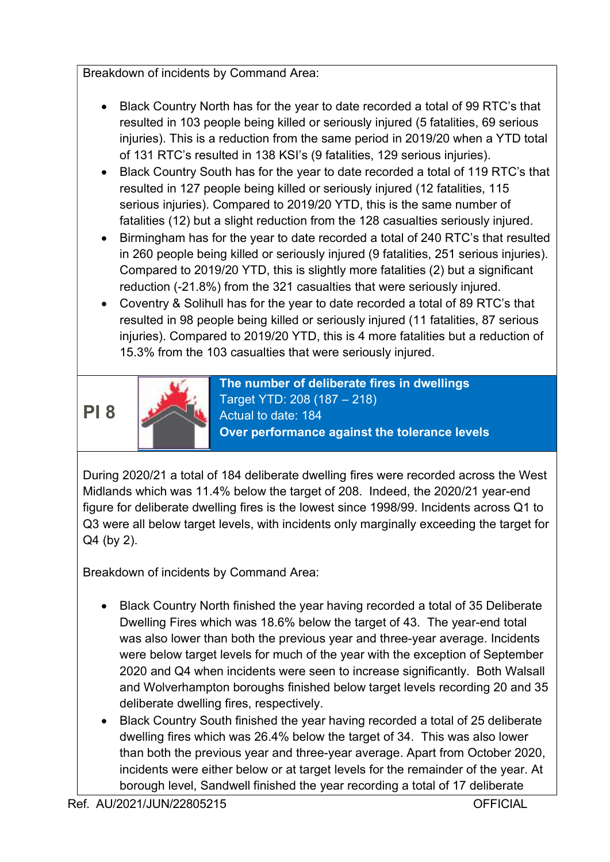Breakdown of incidents by Command Area:

- Black Country North has for the year to date recorded a total of 99 RTC's that resulted in 103 people being killed or seriously injured (5 fatalities, 69 serious injuries). This is a reduction from the same period in 2019/20 when a YTD total of 131 RTC's resulted in 138 KSI's (9 fatalities, 129 serious injuries).
- Black Country South has for the year to date recorded a total of 119 RTC's that resulted in 127 people being killed or seriously injured (12 fatalities, 115 serious injuries). Compared to 2019/20 YTD, this is the same number of fatalities (12) but a slight reduction from the 128 casualties seriously injured.
- Birmingham has for the year to date recorded a total of 240 RTC's that resulted in 260 people being killed or seriously injured (9 fatalities, 251 serious injuries). Compared to 2019/20 YTD, this is slightly more fatalities (2) but a significant reduction (-21.8%) from the 321 casualties that were seriously injured.
- Coventry & Solihull has for the year to date recorded a total of 89 RTC's that resulted in 98 people being killed or seriously injured (11 fatalities, 87 serious injuries). Compared to 2019/20 YTD, this is 4 more fatalities but a reduction of 15.3% from the 103 casualties that were seriously injured.

# PI 8



The number of deliberate fires in dwellings Target YTD: 208 (187 – 218) Actual to date: 184 Over performance against the tolerance levels

During 2020/21 a total of 184 deliberate dwelling fires were recorded across the West Midlands which was 11.4% below the target of 208. Indeed, the 2020/21 year-end figure for deliberate dwelling fires is the lowest since 1998/99. Incidents across Q1 to Q3 were all below target levels, with incidents only marginally exceeding the target for Q4 (by 2).

- Black Country North finished the year having recorded a total of 35 Deliberate Dwelling Fires which was 18.6% below the target of 43. The year-end total was also lower than both the previous year and three-year average. Incidents were below target levels for much of the year with the exception of September 2020 and Q4 when incidents were seen to increase significantly. Both Walsall and Wolverhampton boroughs finished below target levels recording 20 and 35 deliberate dwelling fires, respectively.
- Black Country South finished the year having recorded a total of 25 deliberate dwelling fires which was 26.4% below the target of 34. This was also lower than both the previous year and three-year average. Apart from October 2020, incidents were either below or at target levels for the remainder of the year. At borough level, Sandwell finished the year recording a total of 17 deliberate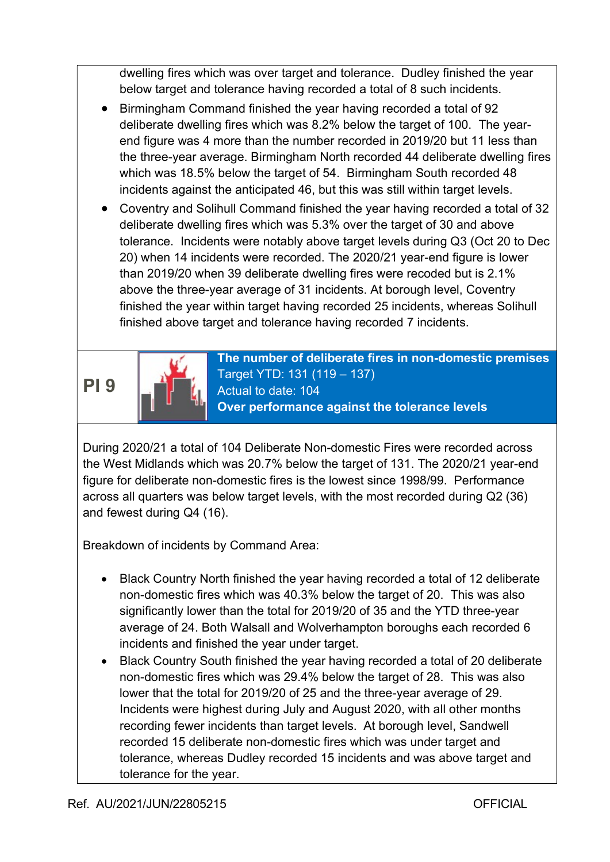dwelling fires which was over target and tolerance. Dudley finished the year below target and tolerance having recorded a total of 8 such incidents.

- Birmingham Command finished the year having recorded a total of 92 deliberate dwelling fires which was 8.2% below the target of 100. The yearend figure was 4 more than the number recorded in 2019/20 but 11 less than the three-year average. Birmingham North recorded 44 deliberate dwelling fires which was 18.5% below the target of 54. Birmingham South recorded 48 incidents against the anticipated 46, but this was still within target levels.
- Coventry and Solihull Command finished the year having recorded a total of 32 deliberate dwelling fires which was 5.3% over the target of 30 and above tolerance. Incidents were notably above target levels during Q3 (Oct 20 to Dec 20) when 14 incidents were recorded. The 2020/21 year-end figure is lower than 2019/20 when 39 deliberate dwelling fires were recoded but is 2.1% above the three-year average of 31 incidents. At borough level, Coventry finished the year within target having recorded 25 incidents, whereas Solihull finished above target and tolerance having recorded 7 incidents.

PI 9



The number of deliberate fires in non-domestic premises Target YTD: 131 (119 – 137) Actual to date: 104 Over performance against the tolerance levels

During 2020/21 a total of 104 Deliberate Non-domestic Fires were recorded across the West Midlands which was 20.7% below the target of 131. The 2020/21 year-end figure for deliberate non-domestic fires is the lowest since 1998/99. Performance across all quarters was below target levels, with the most recorded during Q2 (36) and fewest during Q4 (16).

- Black Country North finished the year having recorded a total of 12 deliberate non-domestic fires which was 40.3% below the target of 20. This was also significantly lower than the total for 2019/20 of 35 and the YTD three-year average of 24. Both Walsall and Wolverhampton boroughs each recorded 6 incidents and finished the year under target.
- Black Country South finished the year having recorded a total of 20 deliberate non-domestic fires which was 29.4% below the target of 28. This was also lower that the total for 2019/20 of 25 and the three-year average of 29. Incidents were highest during July and August 2020, with all other months recording fewer incidents than target levels. At borough level, Sandwell recorded 15 deliberate non-domestic fires which was under target and tolerance, whereas Dudley recorded 15 incidents and was above target and tolerance for the year.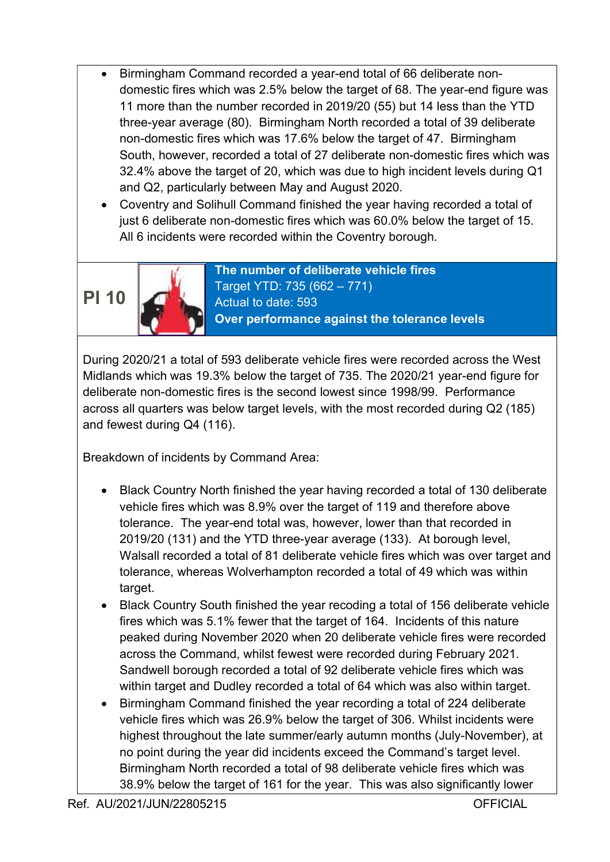- Birmingham Command recorded a year-end total of 66 deliberate nondomestic fires which was 2.5% below the target of 68. The year-end figure was 11 more than the number recorded in 2019/20 (55) but 14 less than the YTD three-year average (80). Birmingham North recorded a total of 39 deliberate non-domestic fires which was 17.6% below the target of 47. Birmingham South, however, recorded a total of 27 deliberate non-domestic fires which was 32.4% above the target of 20, which was due to high incident levels during Q1 and Q2, particularly between May and August 2020.
- Coventry and Solihull Command finished the year having recorded a total of just 6 deliberate non-domestic fires which was 60.0% below the target of 15. All 6 incidents were recorded within the Coventry borough.

## PI 10



The number of deliberate vehicle fires Target YTD: 735 (662 – 771) Actual to date: 593 Over performance against the tolerance levels

During 2020/21 a total of 593 deliberate vehicle fires were recorded across the West Midlands which was 19.3% below the target of 735. The 2020/21 year-end figure for deliberate non-domestic fires is the second lowest since 1998/99. Performance across all quarters was below target levels, with the most recorded during Q2 (185) and fewest during Q4 (116).

- Black Country North finished the year having recorded a total of 130 deliberate vehicle fires which was 8.9% over the target of 119 and therefore above tolerance. The year-end total was, however, lower than that recorded in 2019/20 (131) and the YTD three-year average (133). At borough level, Walsall recorded a total of 81 deliberate vehicle fires which was over target and tolerance, whereas Wolverhampton recorded a total of 49 which was within target.
- Black Country South finished the year recoding a total of 156 deliberate vehicle fires which was 5.1% fewer that the target of 164. Incidents of this nature peaked during November 2020 when 20 deliberate vehicle fires were recorded across the Command, whilst fewest were recorded during February 2021. Sandwell borough recorded a total of 92 deliberate vehicle fires which was within target and Dudley recorded a total of 64 which was also within target.
- Birmingham Command finished the year recording a total of 224 deliberate vehicle fires which was 26.9% below the target of 306. Whilst incidents were highest throughout the late summer/early autumn months (July-November), at no point during the year did incidents exceed the Command's target level. Birmingham North recorded a total of 98 deliberate vehicle fires which was 38.9% below the target of 161 for the year. This was also significantly lower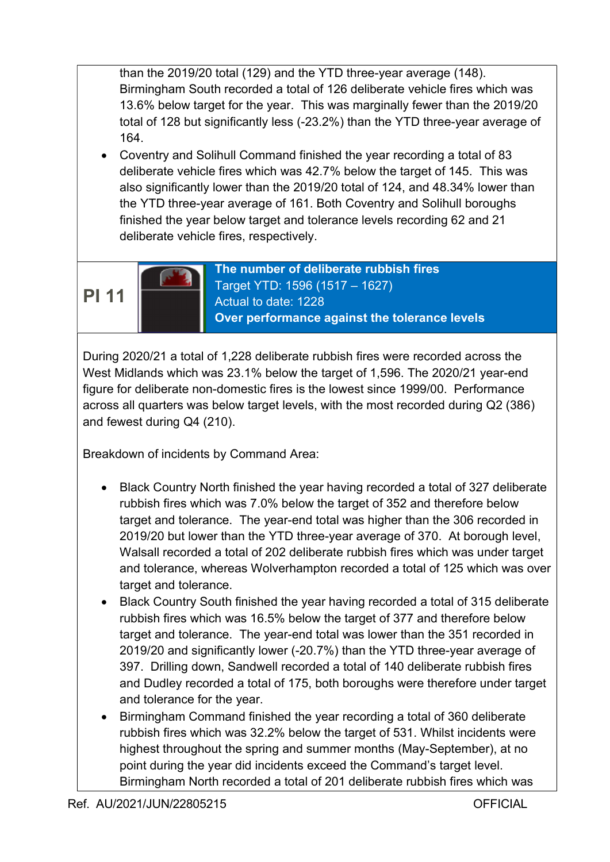than the 2019/20 total (129) and the YTD three-year average (148). Birmingham South recorded a total of 126 deliberate vehicle fires which was 13.6% below target for the year. This was marginally fewer than the 2019/20 total of 128 but significantly less (-23.2%) than the YTD three-year average of 164.

 Coventry and Solihull Command finished the year recording a total of 83 deliberate vehicle fires which was 42.7% below the target of 145. This was also significantly lower than the 2019/20 total of 124, and 48.34% lower than the YTD three-year average of 161. Both Coventry and Solihull boroughs finished the year below target and tolerance levels recording 62 and 21 deliberate vehicle fires, respectively.

PI 11

The number of deliberate rubbish fires Target YTD: 1596 (1517 – 1627) Actual to date: 1228 Over performance against the tolerance levels

During 2020/21 a total of 1,228 deliberate rubbish fires were recorded across the West Midlands which was 23.1% below the target of 1,596. The 2020/21 year-end figure for deliberate non-domestic fires is the lowest since 1999/00. Performance across all quarters was below target levels, with the most recorded during Q2 (386) and fewest during Q4 (210).

- Black Country North finished the year having recorded a total of 327 deliberate rubbish fires which was 7.0% below the target of 352 and therefore below target and tolerance. The year-end total was higher than the 306 recorded in 2019/20 but lower than the YTD three-year average of 370. At borough level, Walsall recorded a total of 202 deliberate rubbish fires which was under target and tolerance, whereas Wolverhampton recorded a total of 125 which was over target and tolerance.
- Black Country South finished the year having recorded a total of 315 deliberate rubbish fires which was 16.5% below the target of 377 and therefore below target and tolerance. The year-end total was lower than the 351 recorded in 2019/20 and significantly lower (-20.7%) than the YTD three-year average of 397. Drilling down, Sandwell recorded a total of 140 deliberate rubbish fires and Dudley recorded a total of 175, both boroughs were therefore under target and tolerance for the year.
- Birmingham Command finished the year recording a total of 360 deliberate rubbish fires which was 32.2% below the target of 531. Whilst incidents were highest throughout the spring and summer months (May-September), at no point during the year did incidents exceed the Command's target level. Birmingham North recorded a total of 201 deliberate rubbish fires which was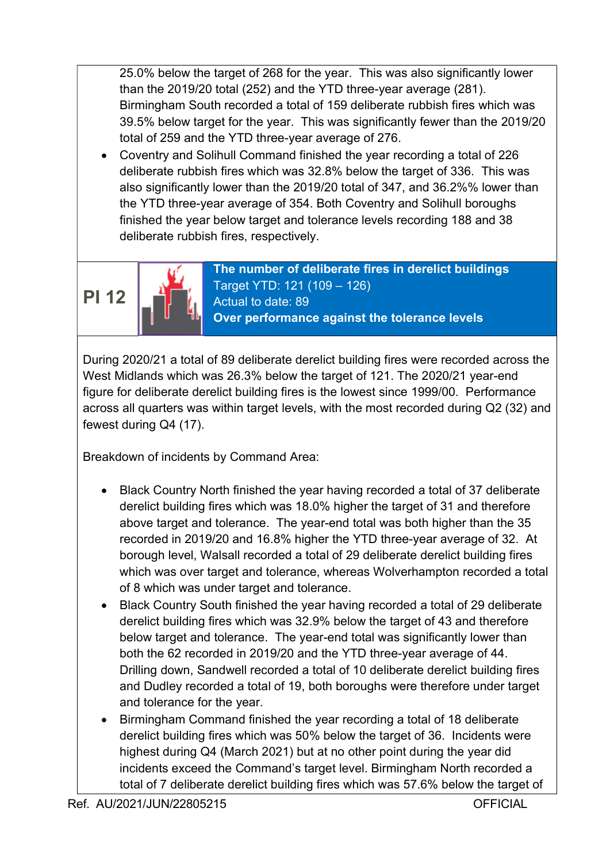25.0% below the target of 268 for the year. This was also significantly lower than the 2019/20 total (252) and the YTD three-year average (281). Birmingham South recorded a total of 159 deliberate rubbish fires which was 39.5% below target for the year. This was significantly fewer than the 2019/20 total of 259 and the YTD three-year average of 276.

 Coventry and Solihull Command finished the year recording a total of 226 deliberate rubbish fires which was 32.8% below the target of 336. This was also significantly lower than the 2019/20 total of 347, and 36.2%% lower than the YTD three-year average of 354. Both Coventry and Solihull boroughs finished the year below target and tolerance levels recording 188 and 38 deliberate rubbish fires, respectively.

PI 12



The number of deliberate fires in derelict buildings Target YTD: 121 (109 – 126) Actual to date: 89 Over performance against the tolerance levels

During 2020/21 a total of 89 deliberate derelict building fires were recorded across the West Midlands which was 26.3% below the target of 121. The 2020/21 year-end figure for deliberate derelict building fires is the lowest since 1999/00. Performance across all quarters was within target levels, with the most recorded during Q2 (32) and fewest during Q4 (17).

- Black Country North finished the year having recorded a total of 37 deliberate derelict building fires which was 18.0% higher the target of 31 and therefore above target and tolerance. The year-end total was both higher than the 35 recorded in 2019/20 and 16.8% higher the YTD three-year average of 32. At borough level, Walsall recorded a total of 29 deliberate derelict building fires which was over target and tolerance, whereas Wolverhampton recorded a total of 8 which was under target and tolerance.
- Black Country South finished the year having recorded a total of 29 deliberate derelict building fires which was 32.9% below the target of 43 and therefore below target and tolerance. The year-end total was significantly lower than both the 62 recorded in 2019/20 and the YTD three-year average of 44. Drilling down, Sandwell recorded a total of 10 deliberate derelict building fires and Dudley recorded a total of 19, both boroughs were therefore under target and tolerance for the year.
- Birmingham Command finished the year recording a total of 18 deliberate derelict building fires which was 50% below the target of 36. Incidents were highest during Q4 (March 2021) but at no other point during the year did incidents exceed the Command's target level. Birmingham North recorded a total of 7 deliberate derelict building fires which was 57.6% below the target of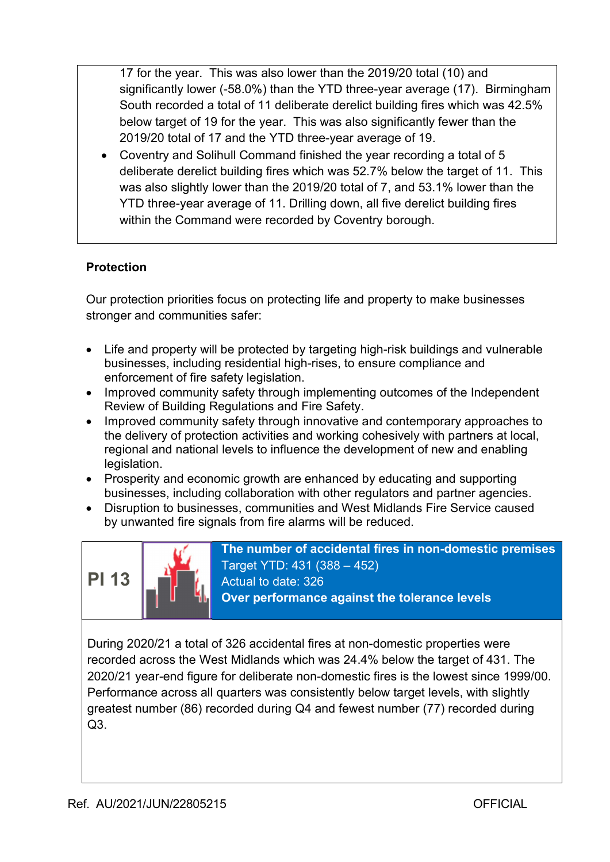17 for the year. This was also lower than the 2019/20 total (10) and significantly lower (-58.0%) than the YTD three-year average (17). Birmingham South recorded a total of 11 deliberate derelict building fires which was 42.5% below target of 19 for the year. This was also significantly fewer than the 2019/20 total of 17 and the YTD three-year average of 19.

 Coventry and Solihull Command finished the year recording a total of 5 deliberate derelict building fires which was 52.7% below the target of 11. This was also slightly lower than the 2019/20 total of 7, and 53.1% lower than the YTD three-year average of 11. Drilling down, all five derelict building fires within the Command were recorded by Coventry borough.

### **Protection**

Our protection priorities focus on protecting life and property to make businesses stronger and communities safer:

- Life and property will be protected by targeting high-risk buildings and vulnerable businesses, including residential high-rises, to ensure compliance and enforcement of fire safety legislation.
- Improved community safety through implementing outcomes of the Independent Review of Building Regulations and Fire Safety.
- Improved community safety through innovative and contemporary approaches to the delivery of protection activities and working cohesively with partners at local, regional and national levels to influence the development of new and enabling legislation.
- Prosperity and economic growth are enhanced by educating and supporting businesses, including collaboration with other regulators and partner agencies.
- Disruption to businesses, communities and West Midlands Fire Service caused by unwanted fire signals from fire alarms will be reduced.



The number of accidental fires in non-domestic premises Target YTD: 431 (388 – 452) Actual to date: 326 Over performance against the tolerance levels

During 2020/21 a total of 326 accidental fires at non-domestic properties were recorded across the West Midlands which was 24.4% below the target of 431. The 2020/21 year-end figure for deliberate non-domestic fires is the lowest since 1999/00. Performance across all quarters was consistently below target levels, with slightly greatest number (86) recorded during Q4 and fewest number (77) recorded during  $O<sub>3</sub>$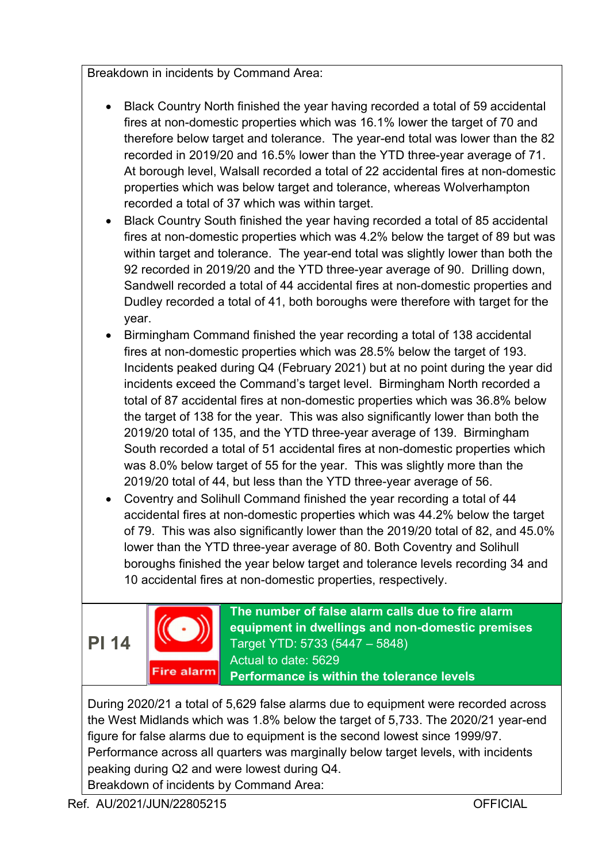Breakdown in incidents by Command Area:

- Black Country North finished the year having recorded a total of 59 accidental fires at non-domestic properties which was 16.1% lower the target of 70 and therefore below target and tolerance. The year-end total was lower than the 82 recorded in 2019/20 and 16.5% lower than the YTD three-year average of 71. At borough level, Walsall recorded a total of 22 accidental fires at non-domestic properties which was below target and tolerance, whereas Wolverhampton recorded a total of 37 which was within target.
- Black Country South finished the year having recorded a total of 85 accidental fires at non-domestic properties which was 4.2% below the target of 89 but was within target and tolerance. The year-end total was slightly lower than both the 92 recorded in 2019/20 and the YTD three-year average of 90. Drilling down, Sandwell recorded a total of 44 accidental fires at non-domestic properties and Dudley recorded a total of 41, both boroughs were therefore with target for the year.
- Birmingham Command finished the year recording a total of 138 accidental fires at non-domestic properties which was 28.5% below the target of 193. Incidents peaked during Q4 (February 2021) but at no point during the year did incidents exceed the Command's target level. Birmingham North recorded a total of 87 accidental fires at non-domestic properties which was 36.8% below the target of 138 for the year. This was also significantly lower than both the 2019/20 total of 135, and the YTD three-year average of 139. Birmingham South recorded a total of 51 accidental fires at non-domestic properties which was 8.0% below target of 55 for the year. This was slightly more than the 2019/20 total of 44, but less than the YTD three-year average of 56.
- Coventry and Solihull Command finished the year recording a total of 44 accidental fires at non-domestic properties which was 44.2% below the target of 79. This was also significantly lower than the 2019/20 total of 82, and 45.0% lower than the YTD three-year average of 80. Both Coventry and Solihull boroughs finished the year below target and tolerance levels recording 34 and 10 accidental fires at non-domestic properties, respectively.

PI 14



The number of false alarm calls due to fire alarm equipment in dwellings and non-domestic premises Target YTD: 5733 (5447 – 5848) Actual to date: 5629 Performance is within the tolerance levels

During 2020/21 a total of 5,629 false alarms due to equipment were recorded across the West Midlands which was 1.8% below the target of 5,733. The 2020/21 year-end figure for false alarms due to equipment is the second lowest since 1999/97. Performance across all quarters was marginally below target levels, with incidents peaking during Q2 and were lowest during Q4. Breakdown of incidents by Command Area: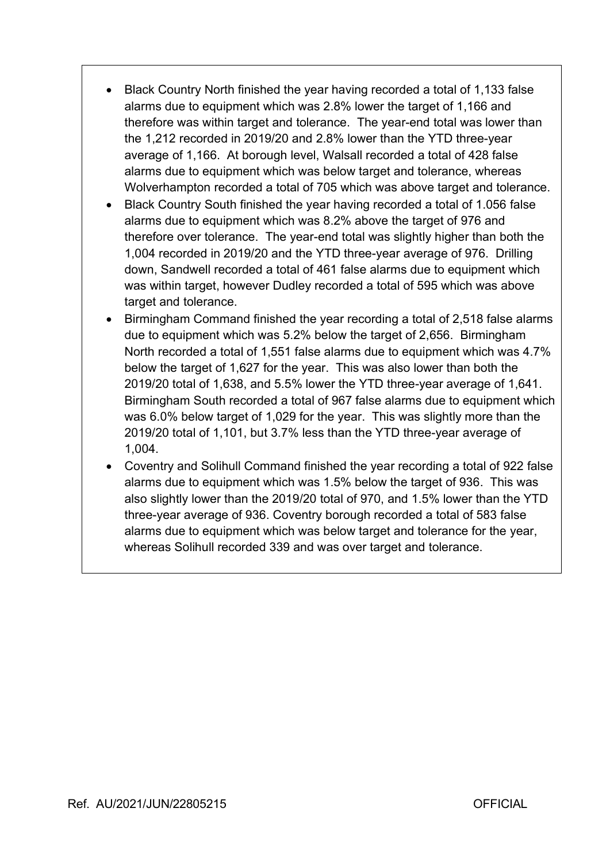- Black Country North finished the year having recorded a total of 1,133 false alarms due to equipment which was 2.8% lower the target of 1,166 and therefore was within target and tolerance. The year-end total was lower than the 1,212 recorded in 2019/20 and 2.8% lower than the YTD three-year average of 1,166. At borough level, Walsall recorded a total of 428 false alarms due to equipment which was below target and tolerance, whereas Wolverhampton recorded a total of 705 which was above target and tolerance.
- Black Country South finished the year having recorded a total of 1.056 false alarms due to equipment which was 8.2% above the target of 976 and therefore over tolerance. The year-end total was slightly higher than both the 1,004 recorded in 2019/20 and the YTD three-year average of 976. Drilling down, Sandwell recorded a total of 461 false alarms due to equipment which was within target, however Dudley recorded a total of 595 which was above target and tolerance.
- Birmingham Command finished the year recording a total of 2,518 false alarms due to equipment which was 5.2% below the target of 2,656. Birmingham North recorded a total of 1,551 false alarms due to equipment which was 4.7% below the target of 1,627 for the year. This was also lower than both the 2019/20 total of 1,638, and 5.5% lower the YTD three-year average of 1,641. Birmingham South recorded a total of 967 false alarms due to equipment which was 6.0% below target of 1,029 for the year. This was slightly more than the 2019/20 total of 1,101, but 3.7% less than the YTD three-year average of 1,004.
- Coventry and Solihull Command finished the year recording a total of 922 false alarms due to equipment which was 1.5% below the target of 936. This was also slightly lower than the 2019/20 total of 970, and 1.5% lower than the YTD three-year average of 936. Coventry borough recorded a total of 583 false alarms due to equipment which was below target and tolerance for the year, whereas Solihull recorded 339 and was over target and tolerance.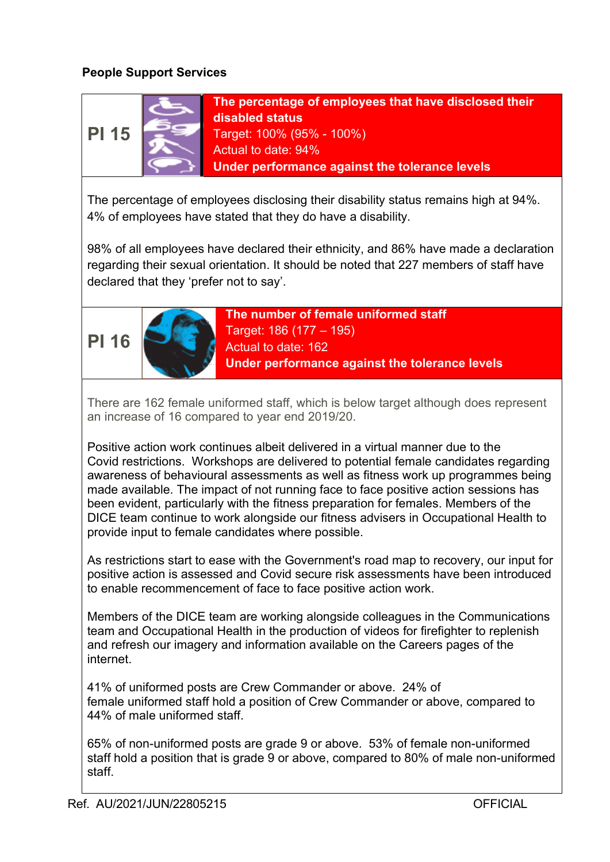### People Support Services



The percentage of employees that have disclosed their disabled status Target: 100% (95% - 100%) Actual to date: 94% Under performance against the tolerance levels

The percentage of employees disclosing their disability status remains high at 94%. 4% of employees have stated that they do have a disability.

98% of all employees have declared their ethnicity, and 86% have made a declaration regarding their sexual orientation. It should be noted that 227 members of staff have declared that they 'prefer not to say'.





The number of female uniformed staff Target: 186 (177 – 195) Actual to date: 162 Under performance against the tolerance levels

There are 162 female uniformed staff, which is below target although does represent an increase of 16 compared to year end 2019/20.

Positive action work continues albeit delivered in a virtual manner due to the Covid restrictions. Workshops are delivered to potential female candidates regarding awareness of behavioural assessments as well as fitness work up programmes being made available. The impact of not running face to face positive action sessions has been evident, particularly with the fitness preparation for females. Members of the DICE team continue to work alongside our fitness advisers in Occupational Health to provide input to female candidates where possible.

As restrictions start to ease with the Government's road map to recovery, our input for positive action is assessed and Covid secure risk assessments have been introduced to enable recommencement of face to face positive action work.

Members of the DICE team are working alongside colleagues in the Communications team and Occupational Health in the production of videos for firefighter to replenish and refresh our imagery and information available on the Careers pages of the internet.

41% of uniformed posts are Crew Commander or above. 24% of female uniformed staff hold a position of Crew Commander or above, compared to 44% of male uniformed staff.

65% of non-uniformed posts are grade 9 or above. 53% of female non-uniformed staff hold a position that is grade 9 or above, compared to 80% of male non-uniformed staff.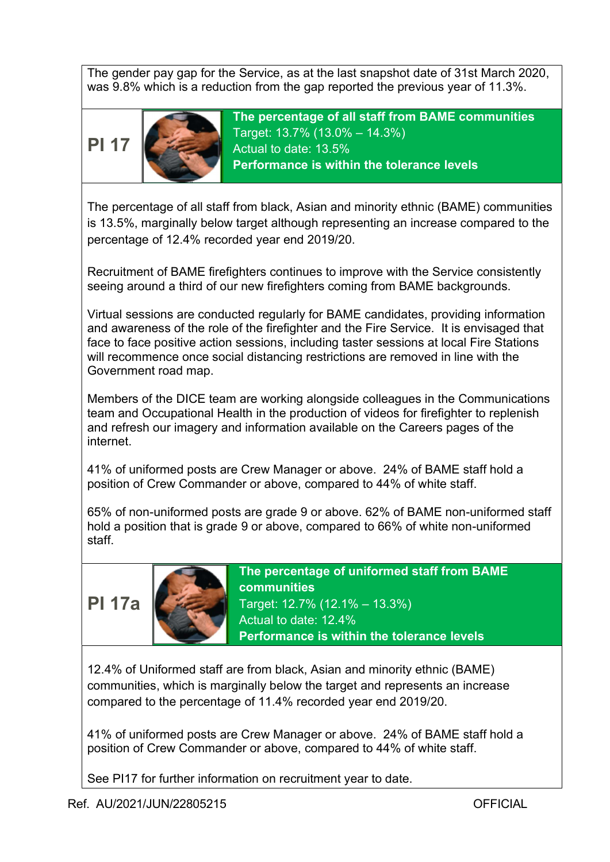The gender pay gap for the Service, as at the last snapshot date of 31st March 2020, was 9.8% which is a reduction from the gap reported the previous year of 11.3%.





The percentage of all staff from BAME communities Target: 13.7% (13.0% – 14.3%) Actual to date: 13.5% Performance is within the tolerance levels

The percentage of all staff from black, Asian and minority ethnic (BAME) communities is 13.5%, marginally below target although representing an increase compared to the percentage of 12.4% recorded year end 2019/20.

Recruitment of BAME firefighters continues to improve with the Service consistently seeing around a third of our new firefighters coming from BAME backgrounds.

Virtual sessions are conducted regularly for BAME candidates, providing information and awareness of the role of the firefighter and the Fire Service. It is envisaged that face to face positive action sessions, including taster sessions at local Fire Stations will recommence once social distancing restrictions are removed in line with the Government road map.

Members of the DICE team are working alongside colleagues in the Communications team and Occupational Health in the production of videos for firefighter to replenish and refresh our imagery and information available on the Careers pages of the internet.

41% of uniformed posts are Crew Manager or above. 24% of BAME staff hold a position of Crew Commander or above, compared to 44% of white staff.

65% of non-uniformed posts are grade 9 or above. 62% of BAME non-uniformed staff hold a position that is grade 9 or above, compared to 66% of white non-uniformed staff.





The percentage of uniformed staff from BAME communities Target: 12.7% (12.1% – 13.3%) Actual to date: 12.4% Performance is within the tolerance levels

12.4% of Uniformed staff are from black, Asian and minority ethnic (BAME) communities, which is marginally below the target and represents an increase compared to the percentage of 11.4% recorded year end 2019/20.

41% of uniformed posts are Crew Manager or above. 24% of BAME staff hold a position of Crew Commander or above, compared to 44% of white staff.

See PI17 for further information on recruitment year to date.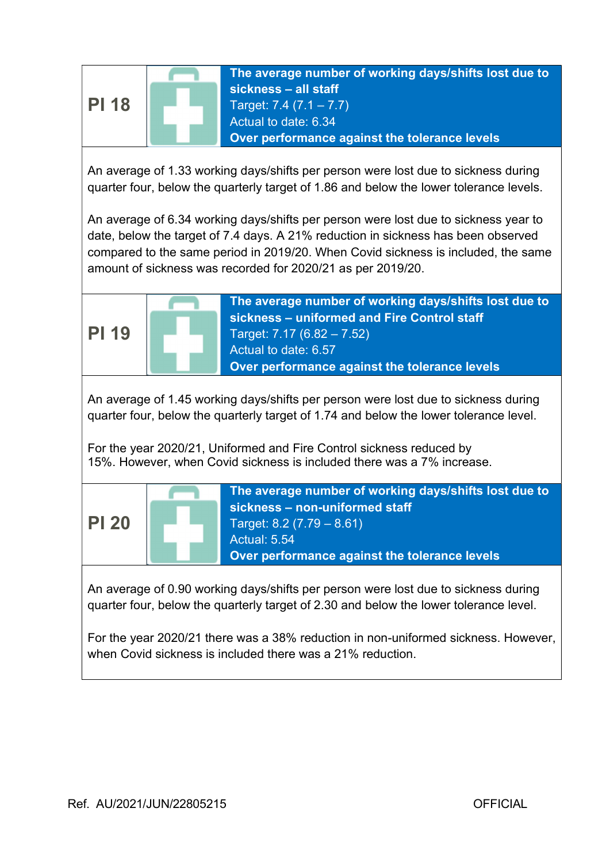

An average of 1.33 working days/shifts per person were lost due to sickness during quarter four, below the quarterly target of 1.86 and below the lower tolerance levels.

An average of 6.34 working days/shifts per person were lost due to sickness year to date, below the target of 7.4 days. A 21% reduction in sickness has been observed compared to the same period in 2019/20. When Covid sickness is included, the same amount of sickness was recorded for 2020/21 as per 2019/20.



An average of 1.45 working days/shifts per person were lost due to sickness during quarter four, below the quarterly target of 1.74 and below the lower tolerance level.

For the year 2020/21, Uniformed and Fire Control sickness reduced by 15%. However, when Covid sickness is included there was a 7% increase.



An average of 0.90 working days/shifts per person were lost due to sickness during quarter four, below the quarterly target of 2.30 and below the lower tolerance level.

For the year 2020/21 there was a 38% reduction in non-uniformed sickness. However, when Covid sickness is included there was a 21% reduction.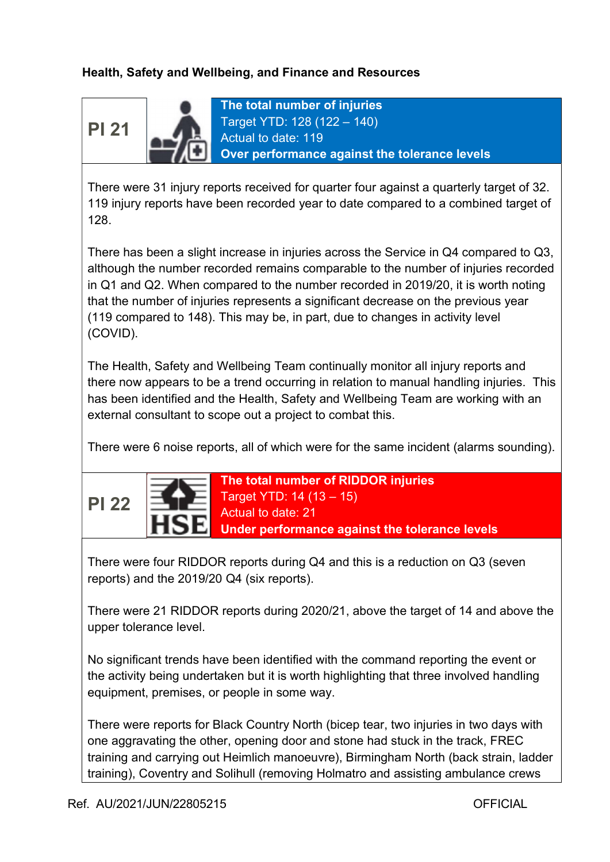### Health, Safety and Wellbeing, and Finance and Resources

PI 21



The total number of injuries Target YTD: 128 (122 – 140) Actual to date: 119 Over performance against the tolerance levels

There were 31 injury reports received for quarter four against a quarterly target of 32. 119 injury reports have been recorded year to date compared to a combined target of 128.

There has been a slight increase in injuries across the Service in Q4 compared to Q3, although the number recorded remains comparable to the number of injuries recorded in Q1 and Q2. When compared to the number recorded in 2019/20, it is worth noting that the number of injuries represents a significant decrease on the previous year (119 compared to 148). This may be, in part, due to changes in activity level (COVID).

The Health, Safety and Wellbeing Team continually monitor all injury reports and there now appears to be a trend occurring in relation to manual handling injuries. This has been identified and the Health, Safety and Wellbeing Team are working with an external consultant to scope out a project to combat this.

There were 6 noise reports, all of which were for the same incident (alarms sounding).



The total number of RIDDOR injuries Target YTD: 14 (13 – 15) Actual to date: 21 Under performance against the tolerance levels

There were four RIDDOR reports during Q4 and this is a reduction on Q3 (seven reports) and the 2019/20 Q4 (six reports).

There were 21 RIDDOR reports during 2020/21, above the target of 14 and above the upper tolerance level.

No significant trends have been identified with the command reporting the event or the activity being undertaken but it is worth highlighting that three involved handling equipment, premises, or people in some way.

There were reports for Black Country North (bicep tear, two injuries in two days with one aggravating the other, opening door and stone had stuck in the track, FREC training and carrying out Heimlich manoeuvre), Birmingham North (back strain, ladder training), Coventry and Solihull (removing Holmatro and assisting ambulance crews